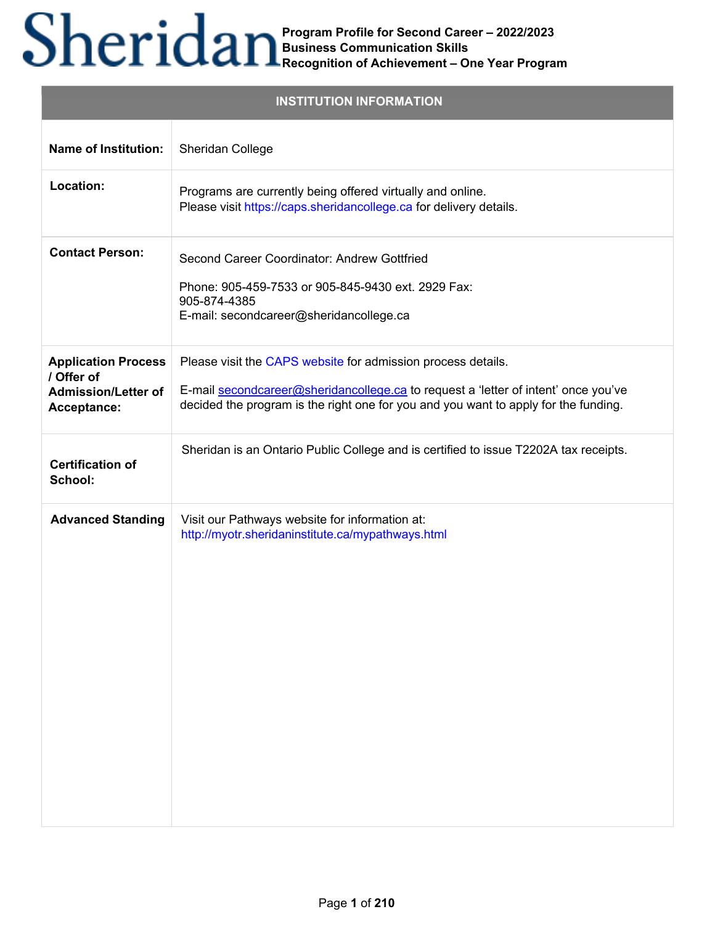|                                                                                       | <b>INSTITUTION INFORMATION</b>                                                                                                                                                                                                            |
|---------------------------------------------------------------------------------------|-------------------------------------------------------------------------------------------------------------------------------------------------------------------------------------------------------------------------------------------|
| <b>Name of Institution:</b>                                                           | Sheridan College                                                                                                                                                                                                                          |
| Location:                                                                             | Programs are currently being offered virtually and online.<br>Please visit https://caps.sheridancollege.ca for delivery details.                                                                                                          |
| <b>Contact Person:</b>                                                                | Second Career Coordinator: Andrew Gottfried<br>Phone: 905-459-7533 or 905-845-9430 ext. 2929 Fax:<br>905-874-4385<br>E-mail: secondcareer@sheridancollege.ca                                                                              |
| <b>Application Process</b><br>/ Offer of<br><b>Admission/Letter of</b><br>Acceptance: | Please visit the CAPS website for admission process details.<br>E-mail secondcareer@sheridancollege.ca to request a 'letter of intent' once you've<br>decided the program is the right one for you and you want to apply for the funding. |
| <b>Certification of</b><br>School:                                                    | Sheridan is an Ontario Public College and is certified to issue T2202A tax receipts.                                                                                                                                                      |
| <b>Advanced Standing</b>                                                              | Visit our Pathways website for information at:<br>http://myotr.sheridaninstitute.ca/mypathways.html                                                                                                                                       |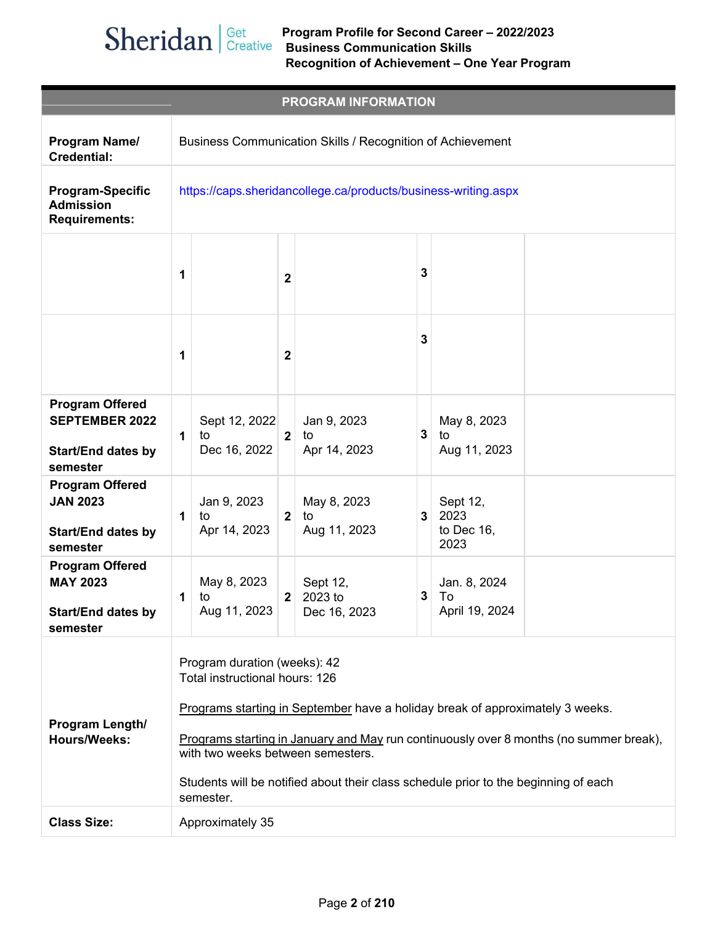|                                                                                          |   |                                                                                                                                                                                                                                                                                                                                                                                    |                  | <b>PROGRAM INFORMATION</b>          |   |                                        |
|------------------------------------------------------------------------------------------|---|------------------------------------------------------------------------------------------------------------------------------------------------------------------------------------------------------------------------------------------------------------------------------------------------------------------------------------------------------------------------------------|------------------|-------------------------------------|---|----------------------------------------|
| Program Name/<br><b>Credential:</b>                                                      |   | Business Communication Skills / Recognition of Achievement                                                                                                                                                                                                                                                                                                                         |                  |                                     |   |                                        |
| <b>Program-Specific</b><br><b>Admission</b><br><b>Requirements:</b>                      |   | https://caps.sheridancollege.ca/products/business-writing.aspx                                                                                                                                                                                                                                                                                                                     |                  |                                     |   |                                        |
|                                                                                          | 1 |                                                                                                                                                                                                                                                                                                                                                                                    | $\mathbf{2}$     |                                     | 3 |                                        |
|                                                                                          | 1 |                                                                                                                                                                                                                                                                                                                                                                                    | 2                |                                     | 3 |                                        |
| <b>Program Offered</b><br><b>SEPTEMBER 2022</b><br><b>Start/End dates by</b><br>semester | 1 | Sept 12, 2022<br>to<br>Dec 16, 2022                                                                                                                                                                                                                                                                                                                                                | $\boldsymbol{2}$ | Jan 9, 2023<br>to<br>Apr 14, 2023   | 3 | May 8, 2023<br>to<br>Aug 11, 2023      |
| <b>Program Offered</b><br><b>JAN 2023</b><br><b>Start/End dates by</b><br>semester       | 1 | Jan 9, 2023<br>to<br>Apr 14, 2023                                                                                                                                                                                                                                                                                                                                                  | $\overline{2}$   | May 8, 2023<br>to<br>Aug 11, 2023   | 3 | Sept 12,<br>2023<br>to Dec 16,<br>2023 |
| <b>Program Offered</b><br><b>MAY 2023</b><br><b>Start/End dates by</b><br>semester       | 1 | May 8, 2023<br>to<br>Aug 11, 2023                                                                                                                                                                                                                                                                                                                                                  | $\mathbf{2}$     | Sept 12,<br>2023 to<br>Dec 16, 2023 | 3 | Jan. 8, 2024<br>To<br>April 19, 2024   |
| Program Length/<br><b>Hours/Weeks:</b>                                                   |   | Program duration (weeks): 42<br>Total instructional hours: 126<br>Programs starting in September have a holiday break of approximately 3 weeks.<br>Programs starting in January and May run continuously over 8 months (no summer break),<br>with two weeks between semesters.<br>Students will be notified about their class schedule prior to the beginning of each<br>semester. |                  |                                     |   |                                        |
| <b>Class Size:</b>                                                                       |   | Approximately 35                                                                                                                                                                                                                                                                                                                                                                   |                  |                                     |   |                                        |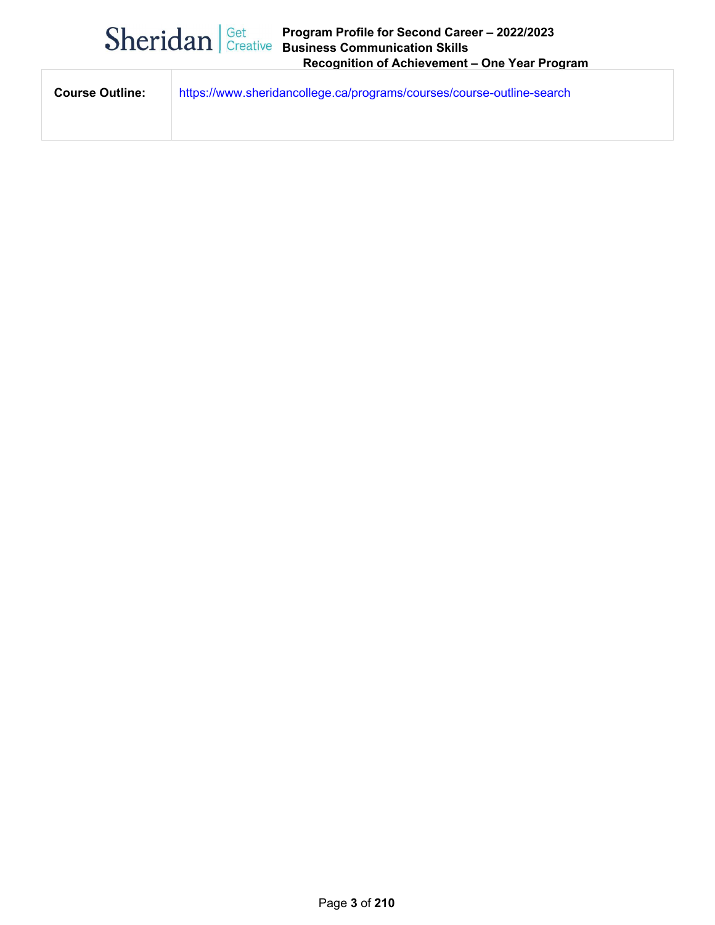|                        | $\text{Sheridan}$ $\text{Get}$ Creative | Program Profile for Second Career - 2022/2023<br><b>Business Communication Skills</b><br>Recognition of Achievement - One Year Program |
|------------------------|-----------------------------------------|----------------------------------------------------------------------------------------------------------------------------------------|
| <b>Course Outline:</b> |                                         | https://www.sheridancollege.ca/programs/courses/course-outline-search                                                                  |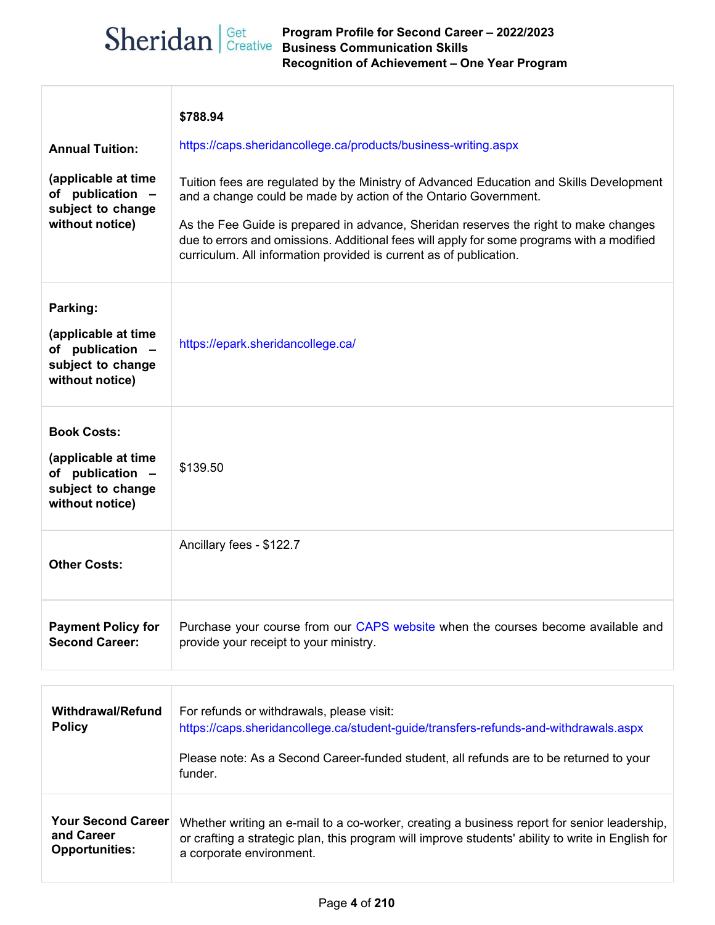## **Program Profile for Second Career – 2022/2023 Business Communication Skills Recognition of Achievement – One Year Program**

|                                                                                                       | \$788.94                                                                                                                                                                                                                                                                                                                                                                                                              |
|-------------------------------------------------------------------------------------------------------|-----------------------------------------------------------------------------------------------------------------------------------------------------------------------------------------------------------------------------------------------------------------------------------------------------------------------------------------------------------------------------------------------------------------------|
| <b>Annual Tuition:</b>                                                                                | https://caps.sheridancollege.ca/products/business-writing.aspx                                                                                                                                                                                                                                                                                                                                                        |
| (applicable at time<br>of publication -<br>subject to change<br>without notice)                       | Tuition fees are regulated by the Ministry of Advanced Education and Skills Development<br>and a change could be made by action of the Ontario Government.<br>As the Fee Guide is prepared in advance, Sheridan reserves the right to make changes<br>due to errors and omissions. Additional fees will apply for some programs with a modified<br>curriculum. All information provided is current as of publication. |
| Parking:<br>(applicable at time<br>of publication -<br>subject to change<br>without notice)           | https://epark.sheridancollege.ca/                                                                                                                                                                                                                                                                                                                                                                                     |
| <b>Book Costs:</b><br>(applicable at time<br>of publication -<br>subject to change<br>without notice) | \$139.50                                                                                                                                                                                                                                                                                                                                                                                                              |
| <b>Other Costs:</b>                                                                                   | Ancillary fees - \$122.7                                                                                                                                                                                                                                                                                                                                                                                              |
| <b>Payment Policy for</b><br><b>Second Career:</b>                                                    | Purchase your course from our CAPS website when the courses become available and<br>provide your receipt to your ministry.                                                                                                                                                                                                                                                                                            |
| <b>Withdrawal/Refund</b><br><b>Policy</b>                                                             | For refunds or withdrawals, please visit:<br>https://caps.sheridancollege.ca/student-guide/transfers-refunds-and-withdrawals.aspx<br>Please note: As a Second Career-funded student, all refunds are to be returned to your<br>funder.                                                                                                                                                                                |
| <b>Your Second Career</b><br>and Career<br><b>Opportunities:</b>                                      | Whether writing an e-mail to a co-worker, creating a business report for senior leadership,<br>or crafting a strategic plan, this program will improve students' ability to write in English for<br>a corporate environment.                                                                                                                                                                                          |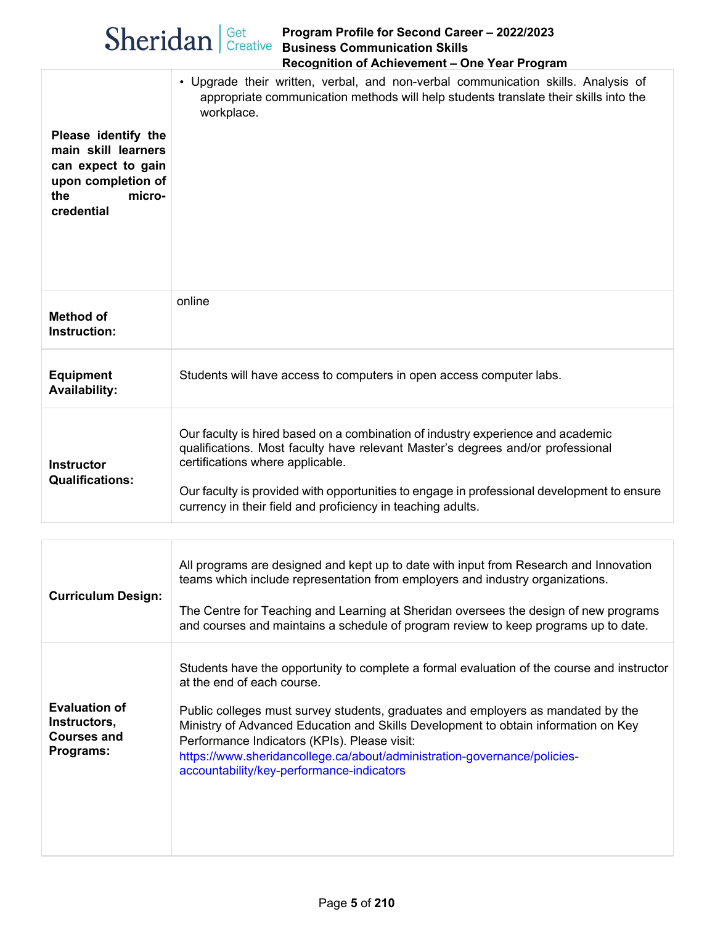|                                                                                                                       | Sheridan   Get Program Profile for Second Care<br>Business Communication Skills<br>Program Profile for Second Career - 2022/2023<br>Recognition of Achievement - One Year Program                                                                                                                                                                                   |
|-----------------------------------------------------------------------------------------------------------------------|---------------------------------------------------------------------------------------------------------------------------------------------------------------------------------------------------------------------------------------------------------------------------------------------------------------------------------------------------------------------|
| Please identify the<br>main skill learners<br>can expect to gain<br>upon completion of<br>the<br>micro-<br>credential | • Upgrade their written, verbal, and non-verbal communication skills. Analysis of<br>appropriate communication methods will help students translate their skills into the<br>workplace.                                                                                                                                                                             |
| <b>Method of</b><br>Instruction:                                                                                      | online                                                                                                                                                                                                                                                                                                                                                              |
| <b>Equipment</b><br><b>Availability:</b>                                                                              | Students will have access to computers in open access computer labs.                                                                                                                                                                                                                                                                                                |
| <b>Instructor</b><br><b>Qualifications:</b>                                                                           | Our faculty is hired based on a combination of industry experience and academic<br>qualifications. Most faculty have relevant Master's degrees and/or professional<br>certifications where applicable.<br>Our faculty is provided with opportunities to engage in professional development to ensure<br>currency in their field and proficiency in teaching adults. |
|                                                                                                                       |                                                                                                                                                                                                                                                                                                                                                                     |
| Curriculum Design:                                                                                                    | All programs are designed and kept up to date with input from Research and Innovation<br>teams which include representation from employers and industry organizations.                                                                                                                                                                                              |

| <b>UUITIUUIUIII DESIYII.</b>                                            | The Centre for Teaching and Learning at Sheridan oversees the design of new programs<br>and courses and maintains a schedule of program review to keep programs up to date.                                                                                                                                                                                                                                                                                                 |
|-------------------------------------------------------------------------|-----------------------------------------------------------------------------------------------------------------------------------------------------------------------------------------------------------------------------------------------------------------------------------------------------------------------------------------------------------------------------------------------------------------------------------------------------------------------------|
| <b>Evaluation of</b><br>Instructors,<br><b>Courses and</b><br>Programs: | Students have the opportunity to complete a formal evaluation of the course and instructor<br>at the end of each course.<br>Public colleges must survey students, graduates and employers as mandated by the<br>Ministry of Advanced Education and Skills Development to obtain information on Key<br>Performance Indicators (KPIs). Please visit:<br>https://www.sheridancollege.ca/about/administration-governance/policies-<br>accountability/key-performance-indicators |